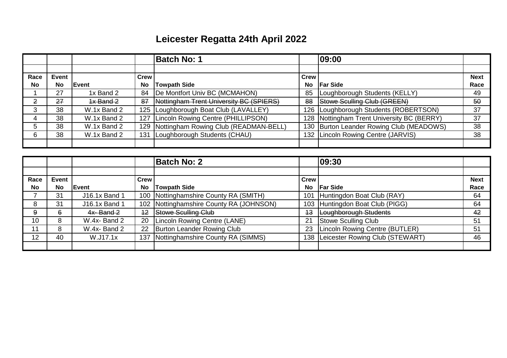## **Leicester Regatta 24th April 2022**

|                |           |               |             | <b>Batch No: 1</b>                      |             | 09:00                                      |             |
|----------------|-----------|---------------|-------------|-----------------------------------------|-------------|--------------------------------------------|-------------|
|                |           |               |             |                                         |             |                                            |             |
| Race           | Event     |               | <b>Crew</b> |                                         | <b>Crew</b> |                                            | <b>Next</b> |
| <b>No</b>      | <b>No</b> | <b>IEvent</b> | No          | Towpath Side                            | No          | <b>IFar Side</b>                           | Race        |
|                | 27        | 1x Band 2     | 84          | De Montfort Univ BC (MCMAHON)           | 85          | Loughborough Students (KELLY)              | 49          |
| $\overline{2}$ | 27        | $4x$ Band $2$ | 87          | Nottingham Trent University BC (SPIERS) | 88          | Stowe Sculling Club (GREEN)                | 50          |
| 3              | 38        | W.1x Band 2   |             | 125   Loughborough Boat Club (LAVALLEY) |             | 126   Loughborough Students (ROBERTSON)    | 37          |
| 4              | 38        | W.1x Band 2   |             | 127 Lincoln Rowing Centre (PHILLIPSON)  |             | 128 Nottingham Trent University BC (BERRY) | 37          |
| 5              | 38        | W.1x Band 2   | 129         | Nottingham Rowing Club (READMAN-BELL)   |             | 130 Burton Leander Rowing Club (MEADOWS)   | 38          |
| 6              | 38        | W.1x Band 2   | 131         | Loughborough Students (CHAU)            |             | 132 Lincoln Rowing Centre (JARVIS)         | 38          |
|                |           |               |             |                                         |             |                                            |             |

|           |           |               |             | <b>Batch No: 2</b>                        |           | 09:30                           |             |
|-----------|-----------|---------------|-------------|-------------------------------------------|-----------|---------------------------------|-------------|
|           |           |               |             |                                           |           |                                 |             |
| Race      | Event     |               | <b>Crew</b> |                                           | Crew      |                                 | <b>Next</b> |
| <b>No</b> | <b>No</b> | Event         | <b>No</b>   | <b>Towpath Side</b>                       | <b>No</b> | <b>Far Side</b>                 | Race        |
|           | 31        | J16.1x Band 1 |             | 100 Nottinghamshire County RA (SMITH)     | 101       | Huntingdon Boat Club (RAY)      | 64          |
| 8         | 31        | J16.1x Band 1 |             | 102   Nottinghamshire County RA (JOHNSON) |           | 103 Huntingdon Boat Club (PIGG) | 64          |
| 9         | 6         | $4x - Band 2$ | $+2$        | Stowe Sculling Club                       | 43        | Loughborough Students           | 42          |
| 10        | 8         | W.4x-Band 2   | 20          | Lincoln Rowing Centre (LANE)              | 21        | Stowe Sculling Club             | 51          |
| 11        | 8         | W.4x-Band 2   | 22          | Burton Leander Rowing Club                | 23        | Lincoln Rowing Centre (BUTLER)  | 51          |
| 12        | 40        | W.J17.1x      | 137         | Nottinghamshire County RA (SIMMS)         | 138       | Leicester Rowing Club (STEWART) | 46          |
|           |           |               |             |                                           |           |                                 |             |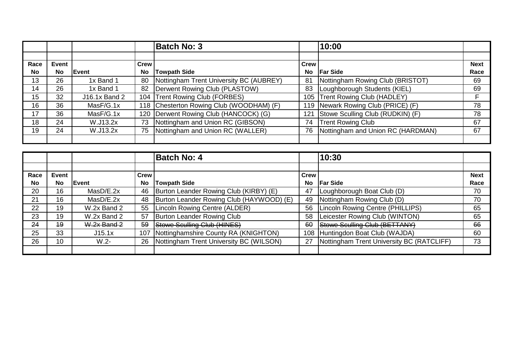|           |           |               |      | <b>Batch No: 3</b>                       |             | 10:00                             |             |
|-----------|-----------|---------------|------|------------------------------------------|-------------|-----------------------------------|-------------|
|           |           |               |      |                                          |             |                                   |             |
| Race      | Event     |               | Crew |                                          | <b>Crew</b> |                                   | <b>Next</b> |
| <b>No</b> | <b>No</b> | Event         | No   | <b>Towpath Side</b>                      | No          | <b>Far Side</b>                   | Race        |
| 13        | 26        | 1x Band 1     | 80   | Nottingham Trent University BC (AUBREY)  | 81          | Nottingham Rowing Club (BRISTOT)  | 69          |
| 14        | 26        | 1x Band 1     |      | 82   Derwent Rowing Club (PLASTOW)       | 83          | Loughborough Students (KIEL)      | 69          |
| 15        | 32        | J16.1x Band 2 |      | 104 Trent Rowing Club (FORBES)           | 105         | Trent Rowing Club (HADLEY)        | F           |
| 16        | 36        | MasF/G.1x     |      | 118 Chesterton Rowing Club (WOODHAM) (F) | 119         | Newark Rowing Club (PRICE) (F)    | 78          |
| 17        | 36        | MasF/G.1x     |      | 120   Derwent Rowing Club (HANCOCK) (G)  | 121         | Stowe Sculling Club (RUDKIN) (F)  | 78          |
| 18        | 24        | W.J13.2x      | 73   | Nottingham and Union RC (GIBSON)         | 74          | <b>Trent Rowing Club</b>          | 67          |
| 19        | 24        | W.J13.2x      | 75   | Nottingham and Union RC (WALLER)         | 76          | Nottingham and Union RC (HARDMAN) | 67          |
|           |           |               |      |                                          |             |                                   |             |

|           |           |               |             | <b>Batch No: 4</b>                       |             | 10:30                                     |             |
|-----------|-----------|---------------|-------------|------------------------------------------|-------------|-------------------------------------------|-------------|
|           |           |               |             |                                          |             |                                           |             |
| Race      | Event     |               | <b>Crew</b> |                                          | <b>Crew</b> |                                           | <b>Next</b> |
| <b>No</b> | <b>No</b> | Event         | No          | <b>Towpath Side</b>                      | <b>No</b>   | <b>Far Side</b>                           | Race        |
| 20        | 16        | MasD/E.2x     | 46          | Burton Leander Rowing Club (KIRBY) (E)   | 47          | Loughborough Boat Club (D)                | 70          |
| 21        | 16        | MasD/E.2x     | 48          | Burton Leander Rowing Club (HAYWOOD) (E) | 49          | Nottingham Rowing Club (D)                | 70          |
| 22        | 19        | W.2x Band 2   | 55          | Lincoln Rowing Centre (ALDER)            | 56          | Lincoln Rowing Centre (PHILLIPS)          | 65          |
| 23        | 19        | W.2x Band 2   | 57          | Burton Leander Rowing Club               | 58          | Leicester Rowing Club (WINTON)            | 65          |
| 24        | 49        | $W.2x$ Band 2 | 59          | <b>Stowe Sculling Club (HINES)</b>       | 60          | Stowe Sculling Club (BETTANY)             | 66          |
| 25        | 33        | J15.1x        | 107         | Nottinghamshire County RA (KNIGHTON)     | 108         | Huntingdon Boat Club (WAJDA)              | 60          |
| 26        | 10        | $W.2 -$       | 26          | Nottingham Trent University BC (WILSON)  | 27          | Nottingham Trent University BC (RATCLIFF) | 73          |
|           |           |               |             |                                          |             |                                           |             |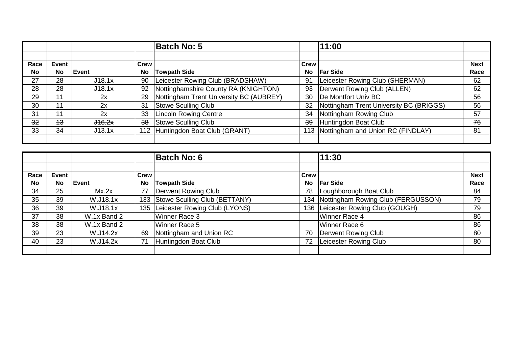|           |           |        |             | <b>Batch No: 5</b>                      |             | 11:00                                   |             |
|-----------|-----------|--------|-------------|-----------------------------------------|-------------|-----------------------------------------|-------------|
|           |           |        |             |                                         |             |                                         |             |
| Race      | Event     |        | <b>Crew</b> |                                         | <b>Crew</b> |                                         | <b>Next</b> |
| <b>No</b> | <b>No</b> | Event  | <b>No</b>   | <b>Towpath Side</b>                     | No          | <b>Far Side</b>                         | Race        |
| 27        | 28        | J18.1x | 90          | Leicester Rowing Club (BRADSHAW)        | 91          | Leicester Rowing Club (SHERMAN)         | 62          |
| 28        | 28        | J18.1x | 92          | Nottinghamshire County RA (KNIGHTON)    | 93          | Derwent Rowing Club (ALLEN)             | 62          |
| 29        | 11        | 2x     | 29          | Nottingham Trent University BC (AUBREY) | 30          | De Montfort Univ BC                     | 56          |
| 30        | 11        | 2x     | 31          | Stowe Sculling Club                     | 32          | Nottingham Trent University BC (BRIGGS) | 56          |
| 31        | 11        | 2x     | 33          | <b>Lincoln Rowing Centre</b>            | 34          | Nottingham Rowing Club                  | 57          |
| 32        | 43        | J16.2x | 38          | <b>Stowe Sculling Club</b>              | 39          | Huntingdon Boat Club                    | 76          |
| 33        | 34        | J13.1x |             | 112 Huntingdon Boat Club (GRANT)        |             | 113 Nottingham and Union RC (FINDLAY)   | 81          |
|           |           |        |             |                                         |             |                                         |             |

|           |              |             |           | <b>Batch No: 6</b>                |             | 11:30                                  |             |
|-----------|--------------|-------------|-----------|-----------------------------------|-------------|----------------------------------------|-------------|
|           |              |             |           |                                   |             |                                        |             |
| Race      | <b>Event</b> |             | Crew      |                                   | <b>Crew</b> |                                        | <b>Next</b> |
| <b>No</b> | <b>No</b>    | Event       | <b>No</b> | <b>Towpath Side</b>               | <b>No</b>   | <b>Far Side</b>                        | Race        |
| 34        | 25           | Mx.2x       | 77        | Derwent Rowing Club               | 78          | Loughborough Boat Club                 | 84          |
| 35        | 39           | W.J18.1x    |           | 133 Stowe Sculling Club (BETTANY) |             | 134 Nottingham Rowing Club (FERGUSSON) | 79          |
| 36        | 39           | W.J18.1x    |           | 135 Leicester Rowing Club (LYONS) |             | 136   Leicester Rowing Club (GOUGH)    | 79          |
| 37        | 38           | W.1x Band 2 |           | Winner Race 3                     |             | Winner Race 4                          | 86          |
| 38        | 38           | W.1x Band 2 |           | Winner Race 5                     |             | Winner Race 6                          | 86          |
| 39        | 23           | W.J14.2x    | 69        | Nottingham and Union RC           | 70          | Derwent Rowing Club                    | 80          |
| 40        | 23           | W.J14.2x    | 71        | Huntingdon Boat Club              | 72          | Leicester Rowing Club                  | 80          |
|           |              |             |           |                                   |             |                                        |             |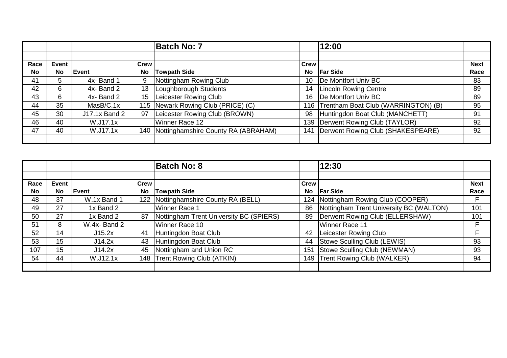|           |              |                |                 | <b>Batch No: 7</b>                        |             | 12:00                                   |             |
|-----------|--------------|----------------|-----------------|-------------------------------------------|-------------|-----------------------------------------|-------------|
|           |              |                |                 |                                           |             |                                         |             |
| Race      | <b>Event</b> |                | Crew            |                                           | <b>Crew</b> |                                         | <b>Next</b> |
| <b>No</b> | <b>No</b>    | <b>I</b> Event | No              | <b>Towpath Side</b>                       | No          | <b>Far Side</b>                         | Race        |
| 41        | 5            | 4x-Band 1      | 9               | Nottingham Rowing Club                    | 10          | De Montfort Univ BC                     | 83          |
| 42        | 6            | 4x-Band 2      | 13              | Loughborough Students                     | 14          | <b>Lincoln Rowing Centre</b>            | 89          |
| 43        | 6            | 4x-Band 2      | 15 <sub>1</sub> | Leicester Rowing Club                     | 16          | De Montfort Univ BC                     | 89          |
| 44        | 35           | MasB/C.1x      |                 | 115 Newark Rowing Club (PRICE) (C)        |             | 116 Trentham Boat Club (WARRINGTON) (B) | 95          |
| 45        | 30           | J17.1x Band 2  | 97              | Leicester Rowing Club (BROWN)             | 98          | Huntingdon Boat Club (MANCHETT)         | 91          |
| 46        | 40           | W.J17.1x       |                 | Winner Race 12                            |             | 139   Derwent Rowing Club (TAYLOR)      | 92          |
| 47        | 40           | W.J17.1x       |                 | 140   Nottinghamshire County RA (ABRAHAM) | 141         | Derwent Rowing Club (SHAKESPEARE)       | 92          |
|           |              |                |                 |                                           |             |                                         |             |

|           |           |             |           | <b>Batch No: 8</b>                      |             | 12:30                                   |             |
|-----------|-----------|-------------|-----------|-----------------------------------------|-------------|-----------------------------------------|-------------|
|           |           |             |           |                                         |             |                                         |             |
| Race      | Event     |             | Crew      |                                         | <b>Crew</b> |                                         | <b>Next</b> |
| <b>No</b> | <b>No</b> | lEvent      | <b>No</b> | <b>Towpath Side</b>                     | No.         | <b>Far Side</b>                         | Race        |
| 48        | 37        | W.1x Band 1 |           | 122 Nottinghamshire County RA (BELL)    |             | 124   Nottingham Rowing Club (COOPER)   | F           |
| 49        | 27        | 1x Band 2   |           | Winner Race 1                           | 86          | Nottingham Trent University BC (WALTON) | 101         |
| 50        | 27        | 1x Band 2   | 87        | Nottingham Trent University BC (SPIERS) | 89          | Derwent Rowing Club (ELLERSHAW)         | 101         |
| 51        | 8         | W.4x-Band 2 |           | Winner Race 10                          |             | Winner Race 11                          | F           |
| 52        | 14        | J15.2x      | 41        | Huntingdon Boat Club                    | 42          | Leicester Rowing Club                   | E.          |
| 53        | 15        | J14.2x      | 43        | Huntingdon Boat Club                    | 44          | Stowe Sculling Club (LEWIS)             | 93          |
| 107       | 15        | J14.2x      | 45        | Nottingham and Union RC                 | 151         | Stowe Sculling Club (NEWMAN)            | 93          |
| 54        | 44        | W.J12.1x    |           | 148 Trent Rowing Club (ATKIN)           |             | 149 Trent Rowing Club (WALKER)          | 94          |
|           |           |             |           |                                         |             |                                         |             |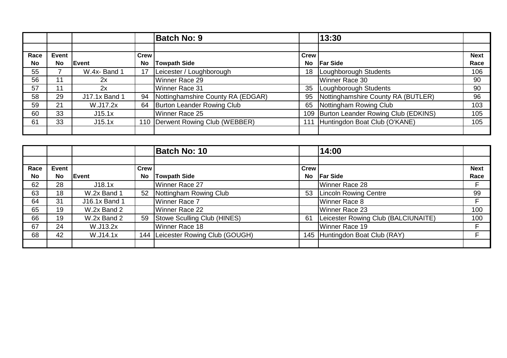|           |       |                      |             | <b>Batch No: 9</b>                 |             | 13:30                               |             |
|-----------|-------|----------------------|-------------|------------------------------------|-------------|-------------------------------------|-------------|
|           |       |                      |             |                                    |             |                                     |             |
| Race      | Event |                      | <b>Crew</b> |                                    | <b>Crew</b> |                                     | <b>Next</b> |
| <b>No</b> | No    | Event                | No          | Towpath Side                       | No          | <b>Far Side</b>                     | Race        |
| 55        |       | W.4x-Band 1          |             | Leicester / Loughborough           | 18          | Loughborough Students               | 106         |
| 56        | 11    | 2x                   |             | Winner Race 29                     |             | Winner Race 30                      | 90          |
| 57        | 11    | 2x                   |             | Winner Race 31                     | 35          | Loughborough Students               | 90          |
| 58        | 29    | <b>J17.1x Band 1</b> | 94          | Nottinghamshire County RA (EDGAR)  | 95          | Nottinghamshire County RA (BUTLER)  | 96          |
| 59        | 21    | W.J17.2x             | 64          | Burton Leander Rowing Club         | 65          | Nottingham Rowing Club              | 103         |
| 60        | 33    | J15.1x               |             | Winner Race 25                     | 109         | Burton Leander Rowing Club (EDKINS) | 105         |
| 61        | 33    | J15.1x               |             | 110   Derwent Rowing Club (WEBBER) |             | 111 Huntingdon Boat Club (O'KANE)   | 105         |
|           |       |                      |             |                                    |             |                                     |             |

|                   |                           |               |                   | <b>Batch No: 10</b>               |                          | 14:00                               |                     |
|-------------------|---------------------------|---------------|-------------------|-----------------------------------|--------------------------|-------------------------------------|---------------------|
| Race<br><b>No</b> | <b>Event</b><br><b>No</b> | Event         | Crew<br><b>No</b> | <b>Towpath Side</b>               | <b>Crew</b><br><b>No</b> | <b>Far Side</b>                     | <b>Next</b><br>Race |
| 62                | 28                        | J18.1x        |                   | Winner Race 27                    |                          | Winner Race 28                      | F                   |
| 63                | 18                        | W.2x Band 1   | 52                | Nottingham Rowing Club            | 53                       | <b>Lincoln Rowing Centre</b>        | 99                  |
| 64                | 31                        | J16.1x Band 1 |                   | Winner Race 7                     |                          | Winner Race 8                       | F                   |
| 65                | 19                        | W.2x Band 2   |                   | Winner Race 22                    |                          | Winner Race 23                      | 100                 |
| 66                | 19                        | W.2x Band 2   | 59                | Stowe Sculling Club (HINES)       | 61                       | Leicester Rowing Club (BALCIUNAITE) | 100                 |
| 67                | 24                        | W.J13.2x      |                   | Winner Race 18                    |                          | Winner Race 19                      | F                   |
| 68                | 42                        | W.J14.1x      |                   | 144 Leicester Rowing Club (GOUGH) | 145                      | Huntingdon Boat Club (RAY)          | F                   |
|                   |                           |               |                   |                                   |                          |                                     |                     |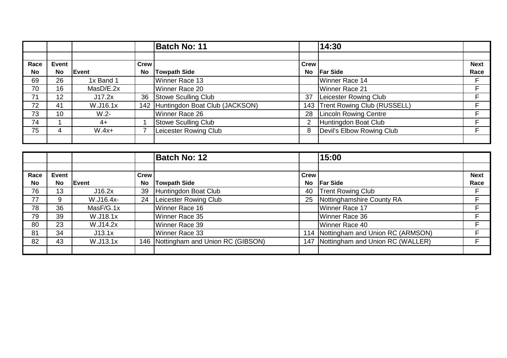|                   |                           |           |                   | <b>Batch No: 11</b>                |                          | 14:30                        |                     |
|-------------------|---------------------------|-----------|-------------------|------------------------------------|--------------------------|------------------------------|---------------------|
| Race<br><b>No</b> | <b>Event</b><br><b>No</b> | Event     | Crew<br><b>No</b> | <b>Towpath Side</b>                | <b>Crew</b><br><b>No</b> | <b>Far Side</b>              | <b>Next</b><br>Race |
| 69                | 26                        | 1x Band 1 |                   | Winner Race 13                     |                          | Winner Race 14               | E                   |
| 70                | 16                        | MasD/E.2x |                   | Winner Race 20                     |                          | Winner Race 21               | F                   |
| 71                | 12                        | J17.2x    | 36                | Stowe Sculling Club                | 37                       | Leicester Rowing Club        | Е                   |
| 72                | 41                        | W.J16.1x  |                   | 142 Huntingdon Boat Club (JACKSON) | 143                      | Trent Rowing Club (RUSSELL)  | E                   |
| 73                | 10                        | $W.2 -$   |                   | Winner Race 26                     | 28                       | <b>Lincoln Rowing Centre</b> | F                   |
| 74                |                           | $4+$      |                   | Stowe Sculling Club                |                          | Huntingdon Boat Club         | F                   |
| 75                | 4                         | $W.4x+$   |                   | Leicester Rowing Club              |                          | Devil's Elbow Rowing Club    | E                   |
|                   |                           |           |                   |                                    |                          |                              |                     |

|                   |                    |           |                          | <b>Batch No: 12</b>                  |                   | 15:00                                  |                     |
|-------------------|--------------------|-----------|--------------------------|--------------------------------------|-------------------|----------------------------------------|---------------------|
|                   |                    |           |                          |                                      |                   |                                        |                     |
| Race<br><b>No</b> | Event<br><b>No</b> | Event     | <b>Crew</b><br><b>No</b> | <b>Towpath Side</b>                  | <b>Crew</b><br>No | <b>Far Side</b>                        | <b>Next</b><br>Race |
|                   |                    |           |                          |                                      |                   |                                        |                     |
| 76                | 13                 | J16.2x    | 39                       | Huntingdon Boat Club                 | 40                | <b>Trent Rowing Club</b>               | F                   |
| 77                | 9                  | W.J16.4x- | 24                       | Leicester Rowing Club                | 25                | Nottinghamshire County RA              | E                   |
| 78                | 36                 | MasF/G.1x |                          | Winner Race 16                       |                   | Winner Race 17                         | F                   |
| 79                | 39                 | W.J18.1x  |                          | Winner Race 35                       |                   | Winner Race 36                         | F                   |
| 80                | 23                 | W.J14.2x  |                          | Winner Race 39                       |                   | Winner Race 40                         | F                   |
| 81                | 34                 | J13.1x    |                          | Winner Race 33                       |                   | 114   Nottingham and Union RC (ARMSON) | F                   |
| 82                | 43                 | W.J13.1x  |                          | 146 Nottingham and Union RC (GIBSON) |                   | 147 Nottingham and Union RC (WALLER)   | F                   |
|                   |                    |           |                          |                                      |                   |                                        |                     |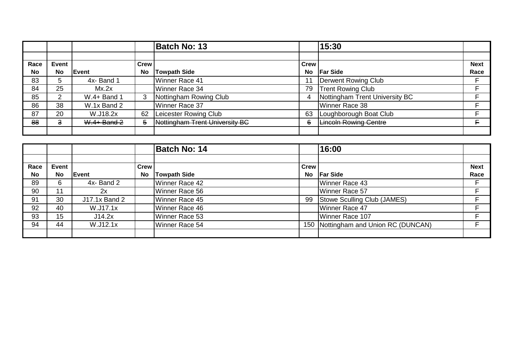|           |                |               |      | <b>Batch No: 13</b>            |             | 15:30                          |             |
|-----------|----------------|---------------|------|--------------------------------|-------------|--------------------------------|-------------|
|           |                |               |      |                                |             |                                |             |
| Race      | Event          |               | Crew |                                | <b>Crew</b> |                                | <b>Next</b> |
| <b>No</b> | <b>No</b>      | Event         | No   | <b>Towpath Side</b>            | <b>No</b>   | <b>Far Side</b>                | Race        |
| 83        | 5              | 4x-Band 1     |      | Winner Race 41                 |             | Derwent Rowing Club            | F           |
| 84        | 25             | Mx.2x         |      | Winner Race 34                 | 79          | <b>Trent Rowing Club</b>       | F           |
| 85        | 2              | W.4+ Band 1   | 3    | Nottingham Rowing Club         | 4           | Nottingham Trent University BC | Е           |
| 86        | 38             | W.1x Band 2   |      | Winner Race 37                 |             | Winner Race 38                 | Е           |
| 87        | 20             | W.J18.2x      | 62   | Leicester Rowing Club          | 63          | Loughborough Boat Club         | Е           |
| 88        | $\overline{3}$ | $W.4+$ Band 2 | 5    | Nottingham Trent University BC | 6           | <b>Lincoln Rowing Centre</b>   | E.          |
|           |                |               |      |                                |             |                                |             |

|           |       |               |           | <b>Batch No: 14</b> |             | 16:00                            |             |
|-----------|-------|---------------|-----------|---------------------|-------------|----------------------------------|-------------|
|           |       |               |           |                     |             |                                  |             |
| Race      | Event |               | Crew      |                     | <b>Crew</b> |                                  | <b>Next</b> |
| <b>No</b> | No    | <b>Event</b>  | <b>No</b> | <b>Towpath Side</b> | <b>No</b>   | <b>Far Side</b>                  | Race        |
| 89        | 6     | 4x-Band 2     |           | Winner Race 42      |             | Winner Race 43                   | F           |
| 90        | 11    | 2x            |           | Winner Race 56      |             | Winner Race 57                   | F           |
| 91        | 30    | J17.1x Band 2 |           | Winner Race 45      | 99          | Stowe Sculling Club (JAMES)      | Е           |
| 92        | 40    | W.J17.1x      |           | Winner Race 46      |             | Winner Race 47                   | E           |
| 93        | 15    | J14.2x        |           | Winner Race 53      |             | Winner Race 107                  | E           |
| 94        | 44    | W.J12.1x      |           | Winner Race 54      | 150         | Nottingham and Union RC (DUNCAN) | F           |
|           |       |               |           |                     |             |                                  |             |